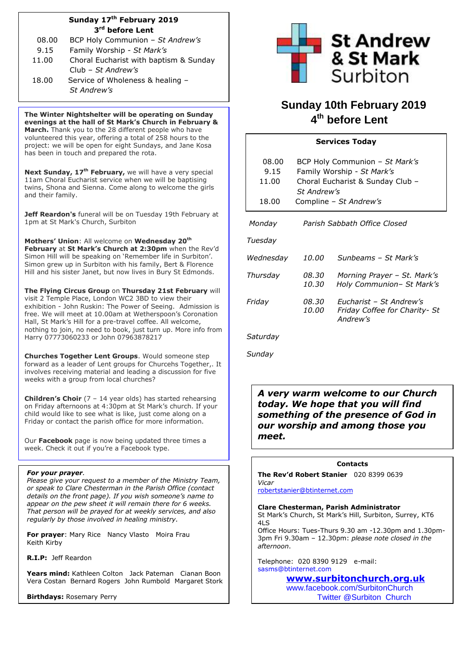# **Sunday 17 th February 2019 3 rd before Lent**

| 08.00 | BCP Holy Communion - St Andrew's       |  |  |
|-------|----------------------------------------|--|--|
| 9.15  | Family Worship - St Mark's             |  |  |
| 11.00 | Choral Eucharist with baptism & Sunday |  |  |
|       | Club – St Andrew's                     |  |  |
| 18.00 | Service of Wholeness & healing -       |  |  |
|       | St Andrew's                            |  |  |

**The Winter Nightshelter will be operating on Sunday evenings at the hall of St Mark's Church in February & March.** Thank you to the 28 different people who have volunteered this year, offering a total of 258 hours to the project: we will be open for eight Sundays, and Jane Kosa has been in touch and prepared the rota.

**Next Sunday, 17th February,** we will have a very special 11am Choral Eucharist service when we will be baptising twins, Shona and Sienna. Come along to welcome the girls and their family.

**Jeff Reardon's** funeral will be on Tuesday 19th February at 1pm at St Mark's Church, Surbiton

**Mothers' Union**: All welcome on **Wednesday 20th February** at **St Mark's Church at 2:30pm** when the Rev'd Simon Hill will be speaking on 'Remember life in Surbiton'. Simon grew up in Surbiton with his family, Bert & Florence Hill and his sister Janet, but now lives in Bury St Edmonds.

**The Flying Circus Group** on **Thursday 21st February** will visit 2 Temple Place, London WC2 3BD to view their exhibition - John Ruskin: The Power of Seeing. Admission is free. We will meet at 10.00am at Wetherspoon's Coronation Hall, St Mark's Hill for a pre-travel coffee. All welcome, nothing to join, no need to book, just turn up. More info from Harry 07773060233 or John 07963878217

**Churches Together Lent Groups**. Would someone step forward as a leader of Lent groups for Churcehs Together,. It involves receiving material and leading a discussion for five weeks with a group from local churches?

**Children's Choir** (7 – 14 year olds) has started rehearsing on Friday afternoons at 4:30pm at St Mark's church. If your child would like to see what is like, just come along on a Friday or contact the parish office for more information.

Our **Facebook** page is now being updated three times a week. Check it out if you're a Facebook type.

### *For your prayer.*

*Please give your request to a member of the Ministry Team, or speak to Clare Chesterman in the Parish Office (contact details on the front page). If you wish someone's name to appear on the pew sheet it will remain there for 6 weeks. That person will be prayed for at weekly services, and also regularly by those involved in healing ministry.* 

**For prayer**: Mary Rice Nancy Vlasto Moira Frau Keith Kirby

**R.I.P:** Jeff Reardon

**Years mind:** Kathleen Colton Jack Pateman Cianan Boon Vera Costan Bernard Rogers John Rumbold Margaret Stork

**Birthdays:** Rosemary Perry



# **Sunday 10th February 2019 4 th before Lent**

# **Services Today**

| 08.00<br>9.15<br>11.00<br>18.00 | BCP Holy Communion - St Mark's<br>Family Worship - St Mark's<br>Choral Eucharist & Sunday Club -<br>St Andrew's<br>Compline – St Andrew's |                                                                      |  |
|---------------------------------|-------------------------------------------------------------------------------------------------------------------------------------------|----------------------------------------------------------------------|--|
| Monday                          | Parish Sabbath Office Closed                                                                                                              |                                                                      |  |
| Tuesdav                         |                                                                                                                                           |                                                                      |  |
| Wednesday                       | <i>10.00</i>                                                                                                                              | Sunbeams - St Mark's                                                 |  |
| Thursday                        | 08.30<br>10.30                                                                                                                            | Morning Prayer – St. Mark's<br>Holy Communion- St Mark's             |  |
| Friday                          | 08.30<br>10.00                                                                                                                            | Fucharist - St Andrew's<br>Friday Coffee for Charity- St<br>Andrew's |  |

*Saturday*

*Sunday*

 $\mathsf{l}$ 

*A very warm welcome to our Church today. We hope that you will find something of the presence of God in our worship and among those you meet.*

## **Contacts**

**The Rev'd Robert Stanier** 020 8399 0639 *Vicar*

[robertstanier@btinternet.com](mailto:robertstanier@btinternet.com)

**Clare Chesterman, Parish Administrator** St Mark's Church, St Mark's Hill, Surbiton, Surrey, KT6 4LS

Office Hours: Tues-Thurs 9.30 am -12.30pm and 1.30pm-3pm Fri 9.30am – 12.30pm: *please note closed in the afternoon*.

Telephone: 020 8390 9129 e-mail: [sasms@btinternet.com](mailto:sasms@btinternet.com) 

**[www.surbitonchurch.org.uk](http://www.surbitonchurch.org.uk/)**

[www.facebook.com/SurbitonChurch](http://www.facebook.com/SurbitonChurch) Twitter @Surbiton\_Church